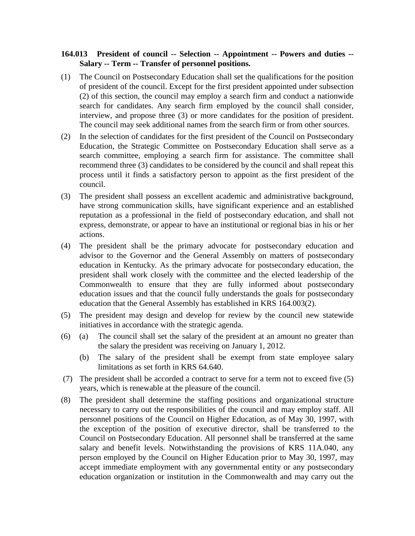## **164.013 President of council -- Selection -- Appointment -- Powers and duties -- Salary -- Term -- Transfer of personnel positions.**

- (1) The Council on Postsecondary Education shall set the qualifications for the position of president of the council. Except for the first president appointed under subsection (2) of this section, the council may employ a search firm and conduct a nationwide search for candidates. Any search firm employed by the council shall consider, interview, and propose three (3) or more candidates for the position of president. The council may seek additional names from the search firm or from other sources.
- (2) In the selection of candidates for the first president of the Council on Postsecondary Education, the Strategic Committee on Postsecondary Education shall serve as a search committee, employing a search firm for assistance. The committee shall recommend three (3) candidates to be considered by the council and shall repeat this process until it finds a satisfactory person to appoint as the first president of the council.
- (3) The president shall possess an excellent academic and administrative background, have strong communication skills, have significant experience and an established reputation as a professional in the field of postsecondary education, and shall not express, demonstrate, or appear to have an institutional or regional bias in his or her actions.
- (4) The president shall be the primary advocate for postsecondary education and advisor to the Governor and the General Assembly on matters of postsecondary education in Kentucky. As the primary advocate for postsecondary education, the president shall work closely with the committee and the elected leadership of the Commonwealth to ensure that they are fully informed about postsecondary education issues and that the council fully understands the goals for postsecondary education that the General Assembly has established in KRS 164.003(2).
- (5) The president may design and develop for review by the council new statewide initiatives in accordance with the strategic agenda.
- (6) (a) The council shall set the salary of the president at an amount no greater than the salary the president was receiving on January 1, 2012.
	- (b) The salary of the president shall be exempt from state employee salary limitations as set forth in KRS 64.640.
- (7) The president shall be accorded a contract to serve for a term not to exceed five (5) years, which is renewable at the pleasure of the council.
- (8) The president shall determine the staffing positions and organizational structure necessary to carry out the responsibilities of the council and may employ staff. All personnel positions of the Council on Higher Education, as of May 30, 1997, with the exception of the position of executive director, shall be transferred to the Council on Postsecondary Education. All personnel shall be transferred at the same salary and benefit levels. Notwithstanding the provisions of KRS 11A.040, any person employed by the Council on Higher Education prior to May 30, 1997, may accept immediate employment with any governmental entity or any postsecondary education organization or institution in the Commonwealth and may carry out the